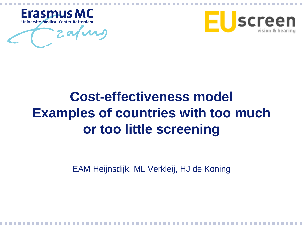



# **Cost-effectiveness model Examples of countries with too much or too little screening**

EAM Heijnsdijk, ML Verkleij, HJ de Koning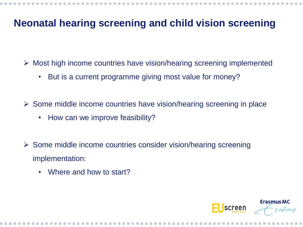#### **Neonatal hearing screening and child vision screening**

 $\triangleright$  Most high income countries have vision/hearing screening implemented

• But is a current programme giving most value for money?

 $\triangleright$  Some middle income countries have vision/hearing screening in place

- How can we improve feasibility?
- Some middle income countries consider vision/hearing screening implementation:
	- Where and how to start?

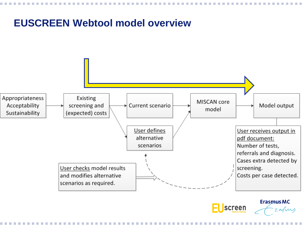#### **EUSCREEN Webtool model overview**





zafurg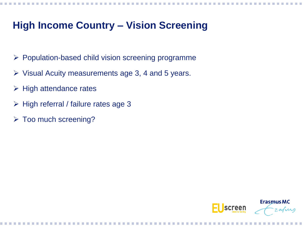## **High Income Country – Vision Screening**

- $\triangleright$  Population-based child vision screening programme
- $\triangleright$  Visual Acuity measurements age 3, 4 and 5 years.
- $\triangleright$  High attendance rates
- $\triangleright$  High referral / failure rates age 3
- > Too much screening?

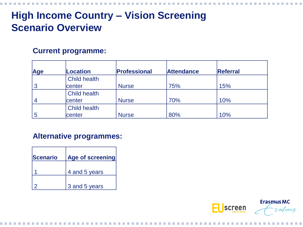# **High Income Country – Vision Screening Scenario Overview**

#### **Current programme:**

| Age            | <b>Location</b>     | <b>Professional</b> | <b>Attendance</b> | <b>Referral</b> |
|----------------|---------------------|---------------------|-------------------|-----------------|
|                | <b>Child health</b> |                     |                   |                 |
| 3              | center              | <b>Nurse</b>        | 75%               | 15%             |
|                | <b>Child health</b> |                     |                   |                 |
| $\overline{4}$ | center              | <b>Nurse</b>        | 70%               | 10%             |
|                | <b>Child health</b> |                     |                   |                 |
| 5              | center              | <b>Nurse</b>        | 80%               | 10%             |

#### **Alternative programmes:**

| Scenario | Age of screening |
|----------|------------------|
|          | 4 and 5 years    |
|          | 3 and 5 years    |

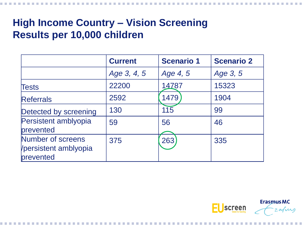### **High Income Country – Vision Screening Results per 10,000 children**

|                                                         | <b>Current</b> | <b>Scenario 1</b> | <b>Scenario 2</b> |
|---------------------------------------------------------|----------------|-------------------|-------------------|
|                                                         | Age 3, 4, 5    | Age 4, 5          | Age 3, 5          |
| Tests                                                   | 22200          | 14787             | 15323             |
| <b>Referrals</b>                                        | 2592           | 1479              | 1904              |
| Detected by screening                                   | 130            | 115               | 99                |
| Persistent amblyopia<br>prevented                       | 59             | 56                | 46                |
| Number of screens<br>Vpersistent amblyopia<br>prevented | 375            | 263               | 335               |

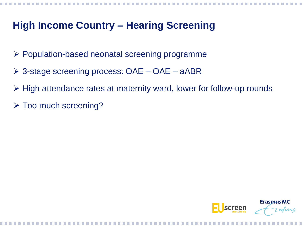### **High Income Country – Hearing Screening**

- $\triangleright$  Population-based neonatal screening programme
- 3-stage screening process: OAE OAE aABR
- High attendance rates at maternity ward, lower for follow-up rounds
- > Too much screening?

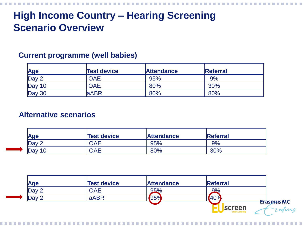# **High Income Country – Hearing Screening Scenario Overview**

#### **Current programme (well babies)**

| <b>Age</b> | <b>Test device</b> | <b>Attendance</b> | <b>Referral</b> |
|------------|--------------------|-------------------|-----------------|
| Day 2      | OAE                | 95%               | 9%              |
| Day 10     | <b>DAE</b>         | 80%               | 30%             |
| Day 30     | <b>aABR</b>        | 80%               | 80%             |

#### **Alternative scenarios**

| Age             | <b>Test device</b> | <b>Attendance</b> | <b>Referral</b> |
|-----------------|--------------------|-------------------|-----------------|
| $\Box$ Day 2    | OAE                | 95%               | 9%              |
| $\Delta$ Day 10 | OAE                | 80%               | 30%             |

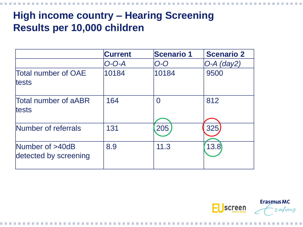# **High income country – Hearing Screening Results per 10,000 children**

|                                             | <b>Current</b> | <b>Scenario 1</b> | <b>Scenario 2</b> |
|---------------------------------------------|----------------|-------------------|-------------------|
|                                             | $O-O-A$        | $O$ - $O$         | $O-A$ (day2)      |
| <b>Total number of OAE</b><br><b>tests</b>  | 10184          | 10184             | 9500              |
| <b>Total number of aABR</b><br><b>tests</b> | 164            | $\overline{0}$    | 812               |
| Number of referrals                         | 131            | 205               | 325               |
| Number of >40dB<br>detected by screening    | 8.9            | 11.3              | 13.8              |

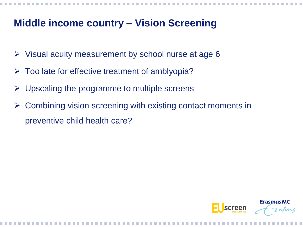### **Middle income country – Vision Screening**

- $\triangleright$  Visual acuity measurement by school nurse at age 6
- $\triangleright$  Too late for effective treatment of amblyopia?
- $\triangleright$  Upscaling the programme to multiple screens
- $\triangleright$  Combining vision screening with existing contact moments in preventive child health care?

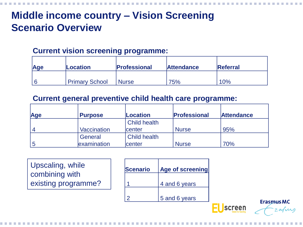# **Middle income country – Vision Screening Scenario Overview**

#### **Current vision screening programme:**

| Age | <b>Location</b> | <b>Professional</b> | <b>Attendance</b> | <b>Referral</b> |
|-----|-----------------|---------------------|-------------------|-----------------|
|     | Primary School  | <b>Nurse</b>        | 75%               | 10%             |

#### **Current general preventive child health care programme:**

| Age | <b>Purpose</b>     | Location            | <b>Professional</b> | <b>Attendance</b> |
|-----|--------------------|---------------------|---------------------|-------------------|
|     |                    | <b>Child health</b> |                     |                   |
|     | <b>Vaccination</b> | center              | <b>Nurse</b>        | 95%               |
|     | General            | <b>Child health</b> |                     |                   |
|     | examination        | center              | <b>Nurse</b>        | 70%               |

Upscaling, while combining with existing programme?

| <b>Scenario</b> | Age of screening |
|-----------------|------------------|
|                 | 4 and 6 years    |
|                 | 5 and 6 years    |

**Erasmus MC**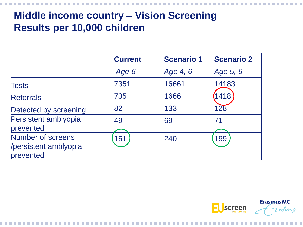# **Middle income country – Vision Screening Results per 10,000 children**

|                                                         | <b>Current</b> | <b>Scenario 1</b> | <b>Scenario 2</b> |
|---------------------------------------------------------|----------------|-------------------|-------------------|
|                                                         | Age 6          | Age 4, 6          | Age 5, 6          |
| Tests                                                   | 7351           | 16661             | 14183             |
| <b>Referrals</b>                                        | 735            | 1666              | 418               |
| Detected by screening                                   | 82             | 133               | 128               |
| Persistent amblyopia<br>prevented                       | 49             | 69                | 71                |
| Number of screens<br>Vpersistent amblyopia<br>prevented | 151            | 240               | 199               |

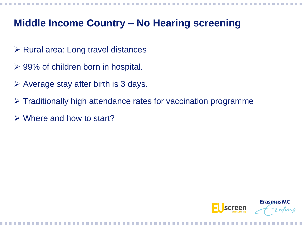### **Middle Income Country – No Hearing screening**

- $\triangleright$  Rural area: Long travel distances
- 99% of children born in hospital.
- $\triangleright$  Average stay after birth is 3 days.
- $\triangleright$  Traditionally high attendance rates for vaccination programme
- $\triangleright$  Where and how to start?

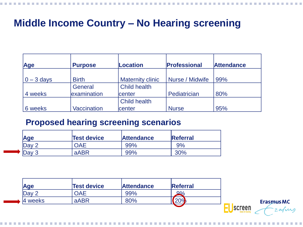| <b>Age</b>   | <b>Purpose</b>     | <b>Location</b>         | <b>Professional</b> | <b>Attendance</b> |
|--------------|--------------------|-------------------------|---------------------|-------------------|
| $0 - 3$ days | <b>Birth</b>       | <b>Maternity clinic</b> | Nurse / Midwife     | 99%               |
|              | General            | <b>Child health</b>     |                     |                   |
| 4 weeks      | examination        | <b>center</b>           | Pediatrician        | 80%               |
|              |                    | <b>Child health</b>     |                     |                   |
| 6 weeks      | <b>Vaccination</b> | <b>center</b>           | <b>Nurse</b>        | 95%               |

#### **Proposed hearing screening scenarios**

| Age              | <b>Test device</b> | <b>Attendance</b> | <b>Referral</b> |
|------------------|--------------------|-------------------|-----------------|
| Dav <sub>2</sub> | <b>OAE</b>         | 99%               | 9%              |
| Day 3            | aABR               | 99%               | 30%             |

| <b>Age</b>       | <b>Test device</b> | <b>Attendance</b> | Referral         |                            |
|------------------|--------------------|-------------------|------------------|----------------------------|
| Dav <sub>2</sub> | DAE.               | 99%               | Q0/              |                            |
| 4 weeks          | aABR               | 80%               | 200 <sub>4</sub> |                            |
|                  |                    |                   |                  | screen<br>vision & hearing |

**Erasmus MC**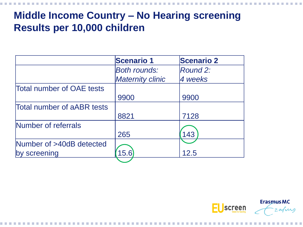# **Middle Income Country – No Hearing screening Results per 10,000 children**

|                                  | <b>Scenario 1</b>       | <b>Scenario 2</b> |
|----------------------------------|-------------------------|-------------------|
|                                  | <b>Both rounds:</b>     | Round 2:          |
|                                  | <b>Maternity clinic</b> | 4 weeks           |
| <b>Total number of OAE tests</b> |                         |                   |
|                                  | 9900                    | 9900              |
| Total number of aABR tests       |                         |                   |
|                                  | 8821                    | 7128              |
| Number of referrals              |                         |                   |
|                                  | 265                     | 143               |
| Number of >40dB detected         |                         |                   |
| by screening                     | 15.6                    | 12.5              |
|                                  |                         |                   |

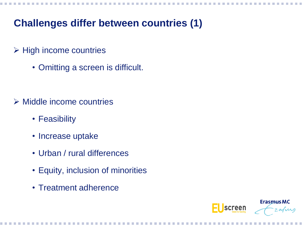### **Challenges differ between countries (1)**

- $\triangleright$  High income countries
	- Omitting a screen is difficult.

- $\triangleright$  Middle income countries
	- Feasibility
	- Increase uptake
	- Urban / rural differences
	- Equity, inclusion of minorities
	- Treatment adherence

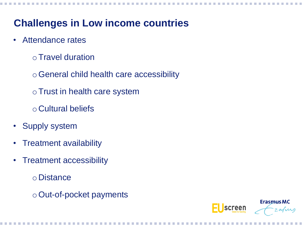### **Challenges in Low income countries**

- Attendance rates
	- oTravel duration
	- oGeneral child health care accessibility
	- oTrust in health care system
	- o Cultural beliefs
- Supply system
- Treatment availability
- Treatment accessibility
	- o Distance
	- oOut-of-pocket payments